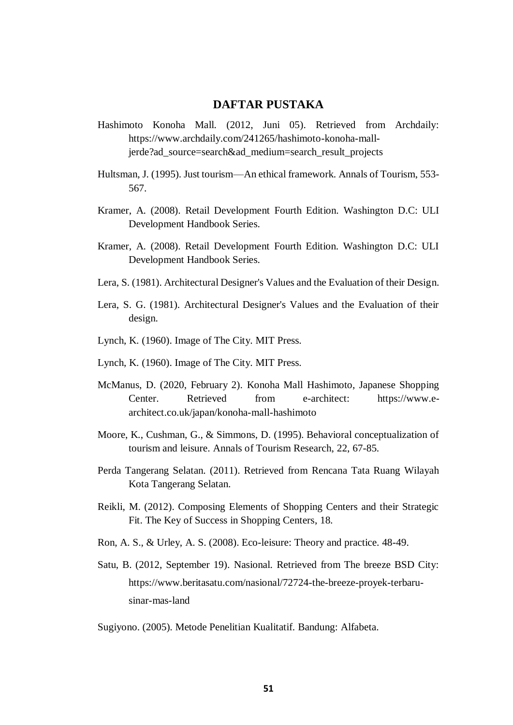## **DAFTAR PUSTAKA**

- Hashimoto Konoha Mall. (2012, Juni 05). Retrieved from Archdaily: https://www.archdaily.com/241265/hashimoto-konoha-malljerde?ad\_source=search&ad\_medium=search\_result\_projects
- Hultsman, J. (1995). Just tourism—An ethical framework. Annals of Tourism, 553- 567.
- Kramer, A. (2008). Retail Development Fourth Edition. Washington D.C: ULI Development Handbook Series.
- Kramer, A. (2008). Retail Development Fourth Edition. Washington D.C: ULI Development Handbook Series.
- Lera, S. (1981). Architectural Designer's Values and the Evaluation of their Design.
- Lera, S. G. (1981). Architectural Designer's Values and the Evaluation of their design.
- Lynch, K. (1960). Image of The City. MIT Press.
- Lynch, K. (1960). Image of The City. MIT Press.
- McManus, D. (2020, February 2). Konoha Mall Hashimoto, Japanese Shopping Center. Retrieved from e-architect: https://www.earchitect.co.uk/japan/konoha-mall-hashimoto
- Moore, K., Cushman, G., & Simmons, D. (1995). Behavioral conceptualization of tourism and leisure. Annals of Tourism Research, 22, 67-85.
- Perda Tangerang Selatan. (2011). Retrieved from Rencana Tata Ruang Wilayah Kota Tangerang Selatan.
- Reikli, M. (2012). Composing Elements of Shopping Centers and their Strategic Fit. The Key of Success in Shopping Centers, 18.
- Ron, A. S., & Urley, A. S. (2008). Eco-leisure: Theory and practice. 48-49.
- Satu, B. (2012, September 19). Nasional. Retrieved from The breeze BSD City: https://www.beritasatu.com/nasional/72724-the-breeze-proyek-terbarusinar-mas-land

Sugiyono. (2005). Metode Penelitian Kualitatif. Bandung: Alfabeta.